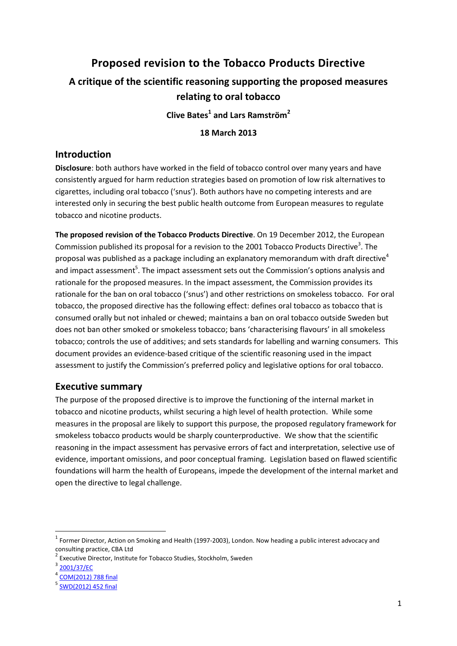# **Proposed revision to the Tobacco Products Directive A critique of the scientific reasoning supporting the proposed measures relating to oral tobacco Clive Bates<sup>1</sup> and Lars Ramström<sup>2</sup>**

**18 March 2013**

### **Introduction**

**Disclosure**: both authors have worked in the field of tobacco control over many years and have consistently argued for harm reduction strategies based on promotion of low risk alternatives to cigarettes, including oral tobacco ('snus'). Both authors have no competing interests and are interested only in securing the best public health outcome from European measures to regulate tobacco and nicotine products.

**The proposed revision of the Tobacco Products Directive**. On 19 December 2012, the European Commission published its proposal for a revision to the 2001 Tobacco Products Directive<sup>3</sup>. The proposal was published as a package including an explanatory memorandum with draft directive<sup>4</sup> and impact assessment<sup>5</sup>. The impact assessment sets out the Commission's options analysis and rationale for the proposed measures. In the impact assessment, the Commission provides its rationale for the ban on oral tobacco ('snus') and other restrictions on smokeless tobacco. For oral tobacco, the proposed directive has the following effect: defines oral tobacco as tobacco that is consumed orally but not inhaled or chewed; maintains a ban on oral tobacco outside Sweden but does not ban other smoked or smokeless tobacco; bans 'characterising flavours' in all smokeless tobacco; controls the use of additives; and sets standards for labelling and warning consumers. This document provides an evidence-based critique of the scientific reasoning used in the impact assessment to justify the Commission's preferred policy and legislative options for oral tobacco.

## **Executive summary**

The purpose of the proposed directive is to improve the functioning of the internal market in tobacco and nicotine products, whilst securing a high level of health protection. While some measures in the proposal are likely to support this purpose, the proposed regulatory framework for smokeless tobacco products would be sharply counterproductive. We show that the scientific reasoning in the impact assessment has pervasive errors of fact and interpretation, selective use of evidence, important omissions, and poor conceptual framing. Legislation based on flawed scientific foundations will harm the health of Europeans, impede the development of the internal market and open the directive to legal challenge.

1

 $^1$  Former Director, Action on Smoking and Health (1997-2003), London. Now heading a public interest advocacy and consulting practice, CBA Ltd

<sup>2</sup> Executive Director, Institute for Tobacco Studies, Stockholm, Sweden

<sup>3</sup> [2001/37/EC](http://eur-lex.europa.eu/smartapi/cgi/sga_doc?smartapi!celexapi!prod!CELEXnumdoc&lg=EN&numdoc=32001L0037&model=guichett)

<sup>4</sup> [COM\(2012\) 788 final](http://ec.europa.eu/health/tobacco/docs/com_2012_788_en.pdf)

<sup>5</sup> [SWD\(2012\) 452 final](http://ec.europa.eu/health/tobacco/docs/com_2012_788_ia_en.pdf)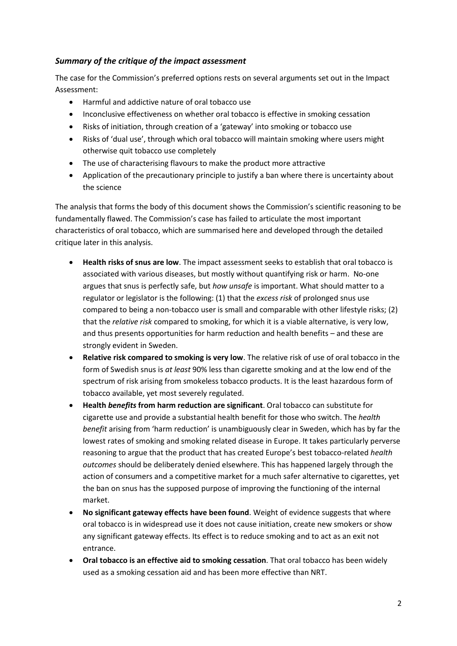#### *Summary of the critique of the impact assessment*

The case for the Commission's preferred options rests on several arguments set out in the Impact Assessment:

- Harmful and addictive nature of oral tobacco use
- Inconclusive effectiveness on whether oral tobacco is effective in smoking cessation
- Risks of initiation, through creation of a 'gateway' into smoking or tobacco use
- Risks of 'dual use', through which oral tobacco will maintain smoking where users might otherwise quit tobacco use completely
- The use of characterising flavours to make the product more attractive
- Application of the precautionary principle to justify a ban where there is uncertainty about the science

The analysis that forms the body of this document shows the Commission's scientific reasoning to be fundamentally flawed. The Commission's case has failed to articulate the most important characteristics of oral tobacco, which are summarised here and developed through the detailed critique later in this analysis.

- **Health risks of snus are low**. The impact assessment seeks to establish that oral tobacco is associated with various diseases, but mostly without quantifying risk or harm. No-one argues that snus is perfectly safe, but *how unsafe* is important. What should matter to a regulator or legislator is the following: (1) that the *excess risk* of prolonged snus use compared to being a non-tobacco user is small and comparable with other lifestyle risks; (2) that the *relative risk* compared to smoking, for which it is a viable alternative, is very low, and thus presents opportunities for harm reduction and health benefits – and these are strongly evident in Sweden.
- **Relative risk compared to smoking is very low**. The relative risk of use of oral tobacco in the form of Swedish snus is *at least* 90% less than cigarette smoking and at the low end of the spectrum of risk arising from smokeless tobacco products. It is the least hazardous form of tobacco available, yet most severely regulated.
- **Health** *benefits* **from harm reduction are significant**. Oral tobacco can substitute for cigarette use and provide a substantial health benefit for those who switch. The *health benefit* arising from 'harm reduction' is unambiguously clear in Sweden, which has by far the lowest rates of smoking and smoking related disease in Europe. It takes particularly perverse reasoning to argue that the product that has created Europe's best tobacco-related *health outcomes* should be deliberately denied elsewhere. This has happened largely through the action of consumers and a competitive market for a much safer alternative to cigarettes, yet the ban on snus has the supposed purpose of improving the functioning of the internal market.
- **No significant gateway effects have been found**. Weight of evidence suggests that where oral tobacco is in widespread use it does not cause initiation, create new smokers or show any significant gateway effects. Its effect is to reduce smoking and to act as an exit not entrance.
- **Oral tobacco is an effective aid to smoking cessation**. That oral tobacco has been widely used as a smoking cessation aid and has been more effective than NRT.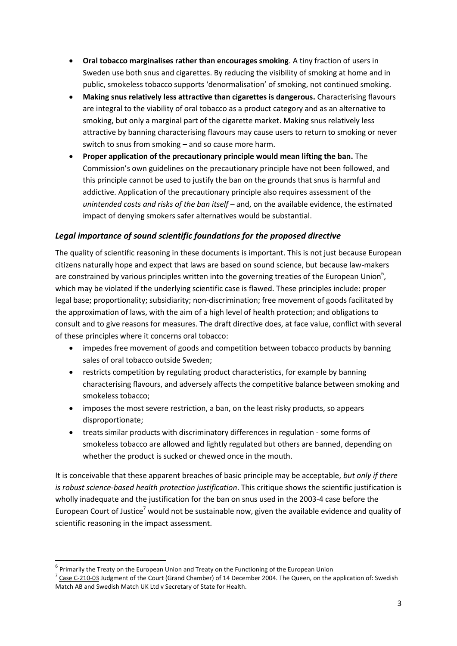- **Oral tobacco marginalises rather than encourages smoking**. A tiny fraction of users in Sweden use both snus and cigarettes. By reducing the visibility of smoking at home and in public, smokeless tobacco supports 'denormalisation' of smoking, not continued smoking.
- **Making snus relatively less attractive than cigarettes is dangerous.** Characterising flavours are integral to the viability of oral tobacco as a product category and as an alternative to smoking, but only a marginal part of the cigarette market. Making snus relatively less attractive by banning characterising flavours may cause users to return to smoking or never switch to snus from smoking – and so cause more harm.
- **Proper application of the precautionary principle would mean lifting the ban.** The Commission's own guidelines on the precautionary principle have not been followed, and this principle cannot be used to justify the ban on the grounds that snus is harmful and addictive. Application of the precautionary principle also requires assessment of the *unintended costs and risks of the ban itself* – and, on the available evidence, the estimated impact of denying smokers safer alternatives would be substantial.

### *Legal importance of sound scientific foundations for the proposed directive*

The quality of scientific reasoning in these documents is important. This is not just because European citizens naturally hope and expect that laws are based on sound science, but because law-makers are constrained by various principles written into the governing treaties of the European Union<sup>6</sup>, which may be violated if the underlying scientific case is flawed. These principles include: proper legal base; proportionality; subsidiarity; non-discrimination; free movement of goods facilitated by the approximation of laws, with the aim of a high level of health protection; and obligations to consult and to give reasons for measures. The draft directive does, at face value, conflict with several of these principles where it concerns oral tobacco:

- impedes free movement of goods and competition between tobacco products by banning sales of oral tobacco outside Sweden;
- restricts competition by regulating product characteristics, for example by banning characterising flavours, and adversely affects the competitive balance between smoking and smokeless tobacco;
- imposes the most severe restriction, a ban, on the least risky products, so appears disproportionate;
- treats similar products with discriminatory differences in regulation some forms of smokeless tobacco are allowed and lightly regulated but others are banned, depending on whether the product is sucked or chewed once in the mouth.

It is conceivable that these apparent breaches of basic principle may be acceptable, *but only if there is robust science-based health protection justification*. This critique shows the scientific justification is wholly inadequate and the justification for the ban on snus used in the 2003-4 case before the European Court of Justice<sup>7</sup> would not be sustainable now, given the available evidence and quality of scientific reasoning in the impact assessment.

1

<sup>&</sup>lt;sup>6</sup> Primarily th[e Treaty on the European Union](http://eur-lex.europa.eu/LexUriServ/LexUriServ.do?uri=OJ:C:2010:083:0013:0046:en:PDF) and [Treaty on the Functioning of the European Union](http://eur-lex.europa.eu/LexUriServ/LexUriServ.do?uri=OJ:C:2010:083:0047:0200:en:PDF)

 $^7$  [Case C-210-03](http://curia.europa.eu/juris/liste.jsf?language=en&jur=C,T,F&num=210/03&td=ALL) Judgment of the Court (Grand Chamber) of 14 December 2004. The Queen, on the application of: Swedish Match AB and Swedish Match UK Ltd v Secretary of State for Health.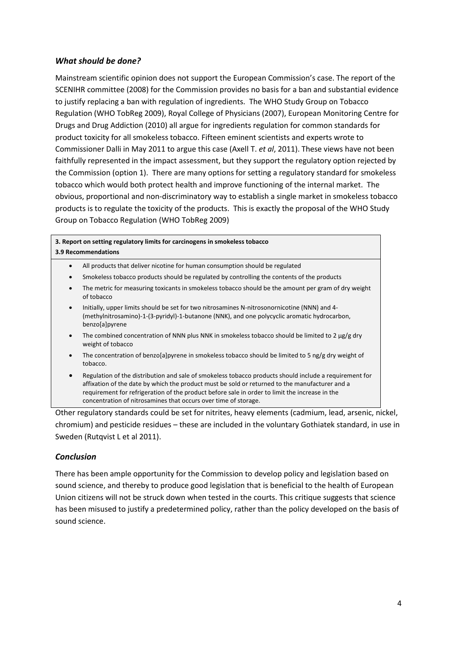#### *What should be done?*

Mainstream scientific opinion does not support the European Commission's case. The report of the SCENIHR committee (2008) for the Commission provides no basis for a ban and substantial evidence to justify replacing a ban with regulation of ingredients. The WHO Study Group on Tobacco Regulation (WHO TobReg 2009), Royal College of Physicians (2007), European Monitoring Centre for Drugs and Drug Addiction (2010) all argue for ingredients regulation for common standards for product toxicity for all smokeless tobacco. Fifteen eminent scientists and experts wrote to Commissioner Dalli in May 2011 to argue this case (Axell T. *et al*, 2011). These views have not been faithfully represented in the impact assessment, but they support the regulatory option rejected by the Commission (option 1). There are many options for setting a regulatory standard for smokeless tobacco which would both protect health and improve functioning of the internal market. The obvious, proportional and non-discriminatory way to establish a single market in smokeless tobacco products is to regulate the toxicity of the products. This is exactly the proposal of the WHO Study Group on Tobacco Regulation (WHO TobReg 2009)

#### **3. Report on setting regulatory limits for carcinogens in smokeless tobacco 3.9 Recommendations**

- All products that deliver nicotine for human consumption should be regulated
- Smokeless tobacco products should be regulated by controlling the contents of the products
- The metric for measuring toxicants in smokeless tobacco should be the amount per gram of dry weight of tobacco
- Initially, upper limits should be set for two nitrosamines N-nitrosonornicotine (NNN) and 4- (methylnitrosamino)-1-(3-pyridyl)-1-butanone (NNK), and one polycyclic aromatic hydrocarbon, benzo[a]pyrene
- The combined concentration of NNN plus NNK in smokeless tobacco should be limited to 2  $\mu$ g/g dry weight of tobacco
- The concentration of benzo[a]pyrene in smokeless tobacco should be limited to 5 ng/g dry weight of tobacco.
- Regulation of the distribution and sale of smokeless tobacco products should include a requirement for affixation of the date by which the product must be sold or returned to the manufacturer and a requirement for refrigeration of the product before sale in order to limit the increase in the concentration of nitrosamines that occurs over time of storage.

Other regulatory standards could be set for nitrites, heavy elements (cadmium, lead, arsenic, nickel, chromium) and pesticide residues – these are included in the voluntary Gothiatek standard, in use in Sweden (Rutqvist L et al 2011).

#### *Conclusion*

There has been ample opportunity for the Commission to develop policy and legislation based on sound science, and thereby to produce good legislation that is beneficial to the health of European Union citizens will not be struck down when tested in the courts. This critique suggests that science has been misused to justify a predetermined policy, rather than the policy developed on the basis of sound science.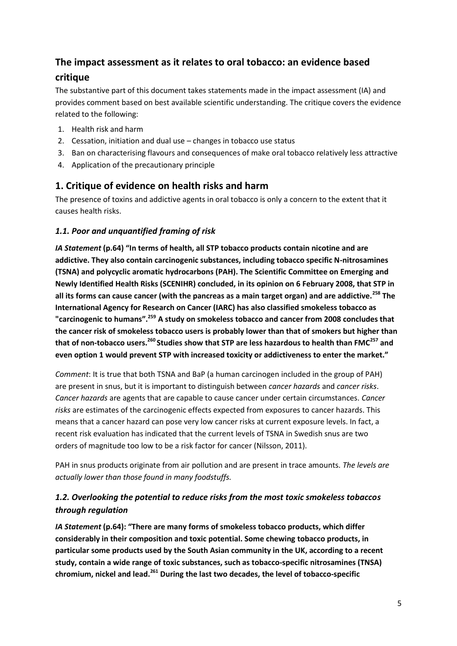# **The impact assessment as it relates to oral tobacco: an evidence based critique**

The substantive part of this document takes statements made in the impact assessment (IA) and provides comment based on best available scientific understanding. The critique covers the evidence related to the following:

- 1. Health risk and harm
- 2. Cessation, initiation and dual use changes in tobacco use status
- 3. Ban on characterising flavours and consequences of make oral tobacco relatively less attractive
- 4. Application of the precautionary principle

## **1. Critique of evidence on health risks and harm**

The presence of toxins and addictive agents in oral tobacco is only a concern to the extent that it causes health risks.

### *1.1. Poor and unquantified framing of risk*

*IA Statement* **(p.64) "In terms of health, all STP tobacco products contain nicotine and are addictive. They also contain carcinogenic substances, including tobacco specific N-nitrosamines (TSNA) and polycyclic aromatic hydrocarbons (PAH). The Scientific Committee on Emerging and Newly Identified Health Risks (SCENIHR) concluded, in its opinion on 6 February 2008, that STP in all its forms can cause cancer (with the pancreas as a main target organ) and are addictive.<sup>258</sup> The International Agency for Research on Cancer (IARC) has also classified smokeless tobacco as "carcinogenic to humans".<sup>259</sup> A study on smokeless tobacco and cancer from 2008 concludes that the cancer risk of smokeless tobacco users is probably lower than that of smokers but higher than that of non-tobacco users.<sup>260</sup>Studies show that STP are less hazardous to health than FMC<sup>257</sup> and even option 1 would prevent STP with increased toxicity or addictiveness to enter the market."** 

*Comment*: It is true that both TSNA and BaP (a human carcinogen included in the group of PAH) are present in snus, but it is important to distinguish between *cancer hazards* and *cancer risks*. *Cancer hazards* are agents that are capable to cause cancer under certain circumstances. *Cancer risks* are estimates of the carcinogenic effects expected from exposures to cancer hazards. This means that a cancer hazard can pose very low cancer risks at current exposure levels. In fact, a recent risk evaluation has indicated that the current levels of TSNA in Swedish snus are two orders of magnitude too low to be a risk factor for cancer (Nilsson, 2011).

PAH in snus products originate from air pollution and are present in trace amounts. *The levels are actually lower than those found in many foodstuffs.*

# *1.2. Overlooking the potential to reduce risks from the most toxic smokeless tobaccos through regulation*

*IA Statement* **(p.64): "There are many forms of smokeless tobacco products, which differ considerably in their composition and toxic potential. Some chewing tobacco products, in particular some products used by the South Asian community in the UK, according to a recent study, contain a wide range of toxic substances, such as tobacco-specific nitrosamines (TNSA) chromium, nickel and lead.<sup>261</sup> During the last two decades, the level of tobacco-specific**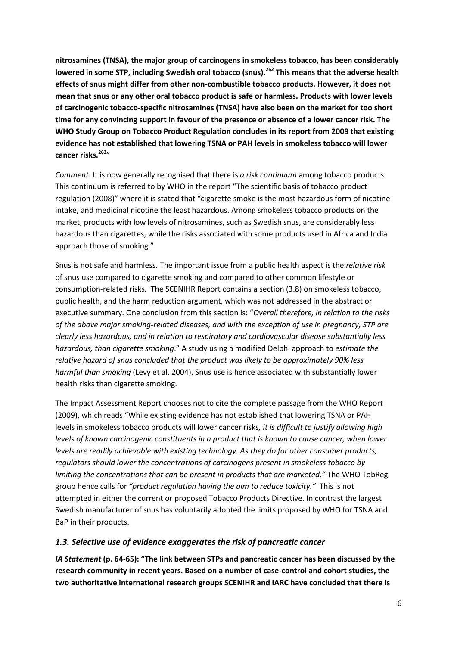**nitrosamines (TNSA), the major group of carcinogens in smokeless tobacco, has been considerably lowered in some STP, including Swedish oral tobacco (snus).<sup>262</sup> This means that the adverse health effects of snus might differ from other non-combustible tobacco products. However, it does not mean that snus or any other oral tobacco product is safe or harmless. Products with lower levels of carcinogenic tobacco-specific nitrosamines (TNSA) have also been on the market for too short time for any convincing support in favour of the presence or absence of a lower cancer risk. The WHO Study Group on Tobacco Product Regulation concludes in its report from 2009 that existing evidence has not established that lowering TSNA or PAH levels in smokeless tobacco will lower cancer risks.<sup>263</sup>"**

*Comment*: It is now generally recognised that there is *a risk continuum* among tobacco products. This continuum is referred to by WHO in the report "The scientific basis of tobacco product regulation (2008)" where it is stated that "cigarette smoke is the most hazardous form of nicotine intake, and medicinal nicotine the least hazardous. Among smokeless tobacco products on the market, products with low levels of nitrosamines, such as Swedish snus, are considerably less hazardous than cigarettes, while the risks associated with some products used in Africa and India approach those of smoking."

Snus is not safe and harmless. The important issue from a public health aspect is the *relative risk* of snus use compared to cigarette smoking and compared to other common lifestyle or consumption-related risks*.* The SCENIHR Report contains a section (3.8) on smokeless tobacco, public health, and the harm reduction argument, which was not addressed in the abstract or executive summary. One conclusion from this section is: "*Overall therefore, in relation to the risks of the above major smoking-related diseases, and with the exception of use in pregnancy, STP are clearly less hazardous, and in relation to respiratory and cardiovascular disease substantially less hazardous, than cigarette smoking*." A study using a modified Delphi approach to *estimate the relative hazard of snus concluded that the product was likely to be approximately 90% less harmful than smoking* (Levy et al. 2004). Snus use is hence associated with substantially lower health risks than cigarette smoking.

The Impact Assessment Report chooses not to cite the complete passage from the WHO Report (2009), which reads "While existing evidence has not established that lowering TSNA or PAH levels in smokeless tobacco products will lower cancer risks*, it is difficult to justify allowing high levels of known carcinogenic constituents in a product that is known to cause cancer, when lower levels are readily achievable with existing technology. As they do for other consumer products, regulators should lower the concentrations of carcinogens present in smokeless tobacco by limiting the concentrations that can be present in products that are marketed."* The WHO TobReg group hence calls for *"product regulation having the aim to reduce toxicity."* This is not attempted in either the current or proposed Tobacco Products Directive. In contrast the largest Swedish manufacturer of snus has voluntarily adopted the limits proposed by WHO for TSNA and BaP in their products.

#### *1.3. Selective use of evidence exaggerates the risk of pancreatic cancer*

*IA Statement* **(p. 64-65): "The link between STPs and pancreatic cancer has been discussed by the research community in recent years. Based on a number of case-control and cohort studies, the two authoritative international research groups SCENIHR and IARC have concluded that there is**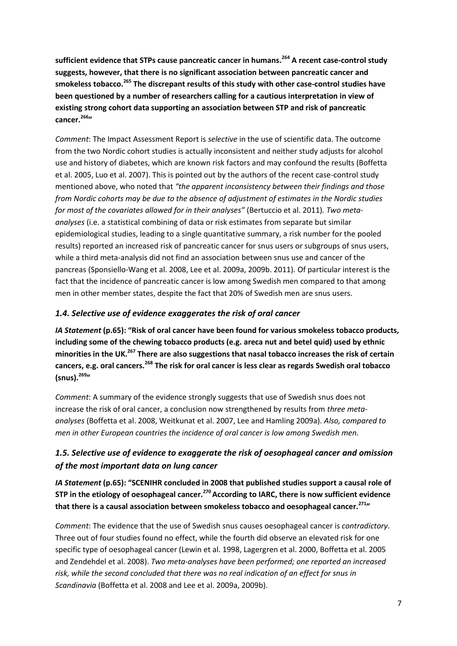**sufficient evidence that STPs cause pancreatic cancer in humans.<sup>264</sup> A recent case-control study suggests, however, that there is no significant association between pancreatic cancer and smokeless tobacco.<sup>265</sup> The discrepant results of this study with other case-control studies have been questioned by a number of researchers calling for a cautious interpretation in view of existing strong cohort data supporting an association between STP and risk of pancreatic cancer.<sup>266</sup>"** 

*Comment*: The Impact Assessment Report is *selective* in the use of scientific data. The outcome from the two Nordic cohort studies is actually inconsistent and neither study adjusts for alcohol use and history of diabetes, which are known risk factors and may confound the results (Boffetta et al. 2005, Luo et al. 2007). This is pointed out by the authors of the recent case-control study mentioned above, who noted that *"the apparent inconsistency between their findings and those from Nordic cohorts may be due to the absence of adjustment of estimates in the Nordic studies for most of the covariates allowed for in their analyses"* (Bertuccio et al. 2011)*. Two metaanalyses* (i.e. a statistical combining of data or risk estimates from separate but similar epidemiological studies, leading to a single quantitative summary, a risk number for the pooled results) reported an increased risk of pancreatic cancer for snus users or subgroups of snus users, while a third meta-analysis did not find an association between snus use and cancer of the pancreas (Sponsiello-Wang et al. 2008, Lee et al. 2009a, 2009b. 2011)*.* Of particular interest is the fact that the incidence of pancreatic cancer is low among Swedish men compared to that among men in other member states, despite the fact that 20% of Swedish men are snus users.

#### *1.4. Selective use of evidence exaggerates the risk of oral cancer*

*IA Statement* **(p.65): "Risk of oral cancer have been found for various smokeless tobacco products, including some of the chewing tobacco products (e.g. areca nut and betel quid) used by ethnic minorities in the UK.<sup>267</sup> There are also suggestions that nasal tobacco increases the risk of certain cancers, e.g. oral cancers.<sup>268</sup> The risk for oral cancer is less clear as regards Swedish oral tobacco (snus).<sup>269</sup>"**

*Comment*: A summary of the evidence strongly suggests that use of Swedish snus does not increase the risk of oral cancer, a conclusion now strengthened by results from *three metaanalyses* (Boffetta et al. 2008, Weitkunat et al. 2007, Lee and Hamling 2009a). *Also, compared to men in other European countries the incidence of oral cancer is low among Swedish men.*

# *1.5. Selective use of evidence to exaggerate the risk of oesophageal cancer and omission of the most important data on lung cancer*

*IA Statement* **(p.65): "SCENIHR concluded in 2008 that published studies support a causal role of STP in the etiology of oesophageal cancer.<sup>270</sup>According to IARC, there is now sufficient evidence that there is a causal association between smokeless tobacco and oesophageal cancer.<sup>271</sup>"**

*Comment*: The evidence that the use of Swedish snus causes oesophageal cancer is *contradictory*. Three out of four studies found no effect, while the fourth did observe an elevated risk for one specific type of oesophageal cancer (Lewin et al. 1998, Lagergren et al. 2000, Boffetta et al. 2005 and Zendehdel et al. 2008). *Two meta-analyses have been performed; one reported an increased risk, while the second concluded that there was no real indication of an effect for snus in Scandinavia* (Boffetta et al. 2008 and Lee et al. 2009a, 2009b).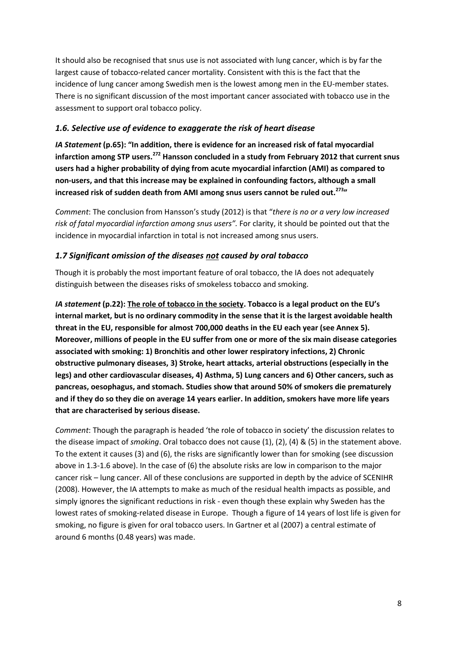It should also be recognised that snus use is not associated with lung cancer, which is by far the largest cause of tobacco-related cancer mortality. Consistent with this is the fact that the incidence of lung cancer among Swedish men is the lowest among men in the EU-member states. There is no significant discussion of the most important cancer associated with tobacco use in the assessment to support oral tobacco policy.

### *1.6. Selective use of evidence to exaggerate the risk of heart disease*

*IA Statement* **(p.65): "In addition, there is evidence for an increased risk of fatal myocardial infarction among STP users.<sup>272</sup> Hansson concluded in a study from February 2012 that current snus users had a higher probability of dying from acute myocardial infarction (AMI) as compared to non-users, and that this increase may be explained in confounding factors, although a small increased risk of sudden death from AMI among snus users cannot be ruled out.<sup>273</sup>"**

*Comment*: The conclusion from Hansson's study (2012) is that "*there is no or a very low increased risk of fatal myocardial infarction among snus users".* For clarity, it should be pointed out that the incidence in myocardial infarction in total is not increased among snus users.

### *1.7 Significant omission of the diseases not caused by oral tobacco*

Though it is probably the most important feature of oral tobacco, the IA does not adequately distinguish between the diseases risks of smokeless tobacco and smoking.

*IA statement* **(p.22): The role of tobacco in the society. Tobacco is a legal product on the EU's internal market, but is no ordinary commodity in the sense that it is the largest avoidable health threat in the EU, responsible for almost 700,000 deaths in the EU each year (see Annex 5). Moreover, millions of people in the EU suffer from one or more of the six main disease categories associated with smoking: 1) Bronchitis and other lower respiratory infections, 2) Chronic obstructive pulmonary diseases, 3) Stroke, heart attacks, arterial obstructions (especially in the legs) and other cardiovascular diseases, 4) Asthma, 5) Lung cancers and 6) Other cancers, such as pancreas, oesophagus, and stomach. Studies show that around 50% of smokers die prematurely and if they do so they die on average 14 years earlier. In addition, smokers have more life years that are characterised by serious disease.**

*Comment*: Though the paragraph is headed 'the role of tobacco in society' the discussion relates to the disease impact of *smoking*. Oral tobacco does not cause (1), (2), (4) & (5) in the statement above. To the extent it causes (3) and (6), the risks are significantly lower than for smoking (see discussion above in 1.3-1.6 above). In the case of (6) the absolute risks are low in comparison to the major cancer risk – lung cancer. All of these conclusions are supported in depth by the advice of SCENIHR (2008). However, the IA attempts to make as much of the residual health impacts as possible, and simply ignores the significant reductions in risk - even though these explain why Sweden has the lowest rates of smoking-related disease in Europe. Though a figure of 14 years of lost life is given for smoking, no figure is given for oral tobacco users. In Gartner et al (2007) a central estimate of around 6 months (0.48 years) was made.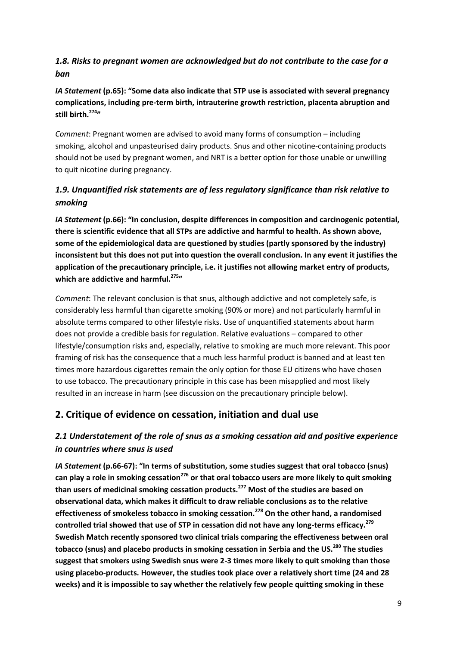# *1.8. Risks to pregnant women are acknowledged but do not contribute to the case for a ban*

*IA Statement* **(p.65): "Some data also indicate that STP use is associated with several pregnancy complications, including pre-term birth, intrauterine growth restriction, placenta abruption and still birth.<sup>274</sup>"**

*Comment*: Pregnant women are advised to avoid many forms of consumption – including smoking, alcohol and unpasteurised dairy products. Snus and other nicotine-containing products should not be used by pregnant women, and NRT is a better option for those unable or unwilling to quit nicotine during pregnancy.

# *1.9. Unquantified risk statements are of less regulatory significance than risk relative to smoking*

*IA Statement* **(p.66): "In conclusion, despite differences in composition and carcinogenic potential, there is scientific evidence that all STPs are addictive and harmful to health. As shown above, some of the epidemiological data are questioned by studies (partly sponsored by the industry) inconsistent but this does not put into question the overall conclusion. In any event it justifies the application of the precautionary principle, i.e. it justifies not allowing market entry of products, which are addictive and harmful.<sup>275</sup>"**

*Comment*: The relevant conclusion is that snus, although addictive and not completely safe, is considerably less harmful than cigarette smoking (90% or more) and not particularly harmful in absolute terms compared to other lifestyle risks. Use of unquantified statements about harm does not provide a credible basis for regulation. Relative evaluations – compared to other lifestyle/consumption risks and, especially, relative to smoking are much more relevant. This poor framing of risk has the consequence that a much less harmful product is banned and at least ten times more hazardous cigarettes remain the only option for those EU citizens who have chosen to use tobacco. The precautionary principle in this case has been misapplied and most likely resulted in an increase in harm (see discussion on the precautionary principle below).

# **2. Critique of evidence on cessation, initiation and dual use**

# *2.1 Understatement of the role of snus as a smoking cessation aid and positive experience in countries where snus is used*

*IA Statement* **(p.66-67): "In terms of substitution, some studies suggest that oral tobacco (snus) can play a role in smoking cessation<sup>276</sup> or that oral tobacco users are more likely to quit smoking than users of medicinal smoking cessation products.<sup>277</sup> Most of the studies are based on observational data, which makes it difficult to draw reliable conclusions as to the relative effectiveness of smokeless tobacco in smoking cessation.<sup>278</sup> On the other hand, a randomised controlled trial showed that use of STP in cessation did not have any long-terms efficacy.<sup>279</sup> Swedish Match recently sponsored two clinical trials comparing the effectiveness between oral tobacco (snus) and placebo products in smoking cessation in Serbia and the US.<sup>280</sup> The studies suggest that smokers using Swedish snus were 2-3 times more likely to quit smoking than those using placebo-products. However, the studies took place over a relatively short time (24 and 28 weeks) and it is impossible to say whether the relatively few people quitting smoking in these**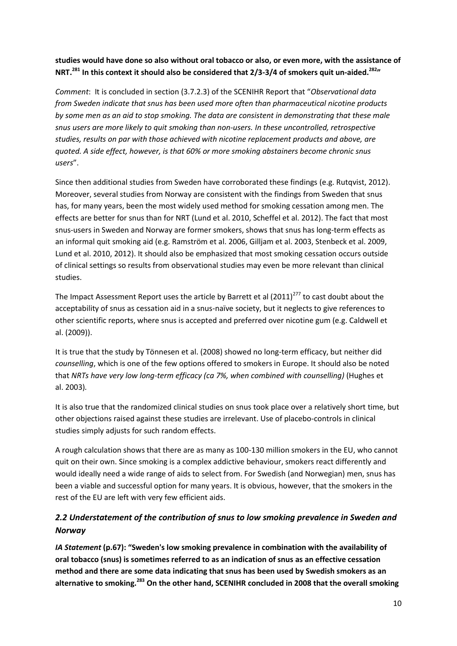### **studies would have done so also without oral tobacco or also, or even more, with the assistance of NRT.<sup>281</sup> In this context it should also be considered that 2/3-3/4 of smokers quit un-aided.<sup>282</sup>"**

*Comment*: It is concluded in section (3.7.2.3) of the SCENIHR Report that "*Observational data from Sweden indicate that snus has been used more often than pharmaceutical nicotine products by some men as an aid to stop smoking. The data are consistent in demonstrating that these male snus users are more likely to quit smoking than non-users. In these uncontrolled, retrospective studies, results on par with those achieved with nicotine replacement products and above, are quoted. A side effect, however, is that 60% or more smoking abstainers become chronic snus users*".

Since then additional studies from Sweden have corroborated these findings (e.g. Rutqvist, 2012). Moreover, several studies from Norway are consistent with the findings from Sweden that snus has, for many years, been the most widely used method for smoking cessation among men. The effects are better for snus than for NRT (Lund et al. 2010, Scheffel et al. 2012). The fact that most snus-users in Sweden and Norway are former smokers, shows that snus has long-term effects as an informal quit smoking aid (e.g. Ramström et al. 2006, Gilljam et al. 2003, Stenbeck et al. 2009, Lund et al. 2010, 2012). It should also be emphasized that most smoking cessation occurs outside of clinical settings so results from observational studies may even be more relevant than clinical studies.

The Impact Assessment Report uses the article by Barrett et al  $(2011)^{277}$  to cast doubt about the acceptability of snus as cessation aid in a snus-naïve society, but it neglects to give references to other scientific reports, where snus is accepted and preferred over nicotine gum (e.g. Caldwell et al. (2009)).

It is true that the study by Tönnesen et al. (2008) showed no long-term efficacy, but neither did *counselling*, which is one of the few options offered to smokers in Europe. It should also be noted that *NRTs have very low long-term efficacy (ca 7%, when combined with counselling)* (Hughes et al. 2003)*.* 

It is also true that the randomized clinical studies on snus took place over a relatively short time, but other objections raised against these studies are irrelevant. Use of placebo-controls in clinical studies simply adjusts for such random effects.

A rough calculation shows that there are as many as 100-130 million smokers in the EU, who cannot quit on their own. Since smoking is a complex addictive behaviour, smokers react differently and would ideally need a wide range of aids to select from. For Swedish (and Norwegian) men, snus has been a viable and successful option for many years. It is obvious, however, that the smokers in the rest of the EU are left with very few efficient aids.

# *2.2 Understatement of the contribution of snus to low smoking prevalence in Sweden and Norway*

*IA Statement* **(p.67): "Sweden's low smoking prevalence in combination with the availability of oral tobacco (snus) is sometimes referred to as an indication of snus as an effective cessation method and there are some data indicating that snus has been used by Swedish smokers as an alternative to smoking.<sup>283</sup> On the other hand, SCENIHR concluded in 2008 that the overall smoking**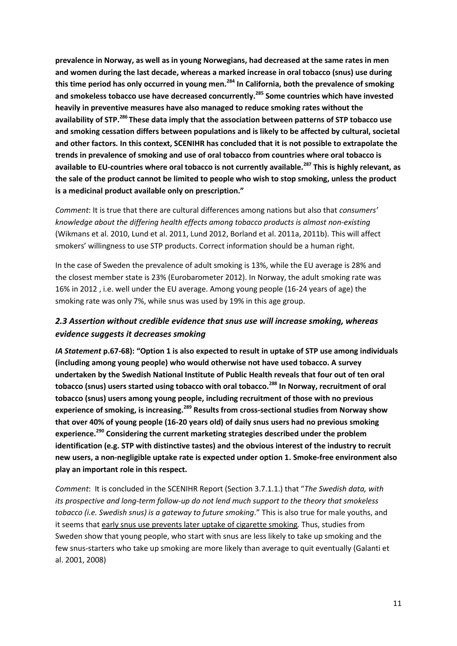**prevalence in Norway, as well as in young Norwegians, had decreased at the same rates in men and women during the last decade, whereas a marked increase in oral tobacco (snus) use during this time period has only occurred in young men.<sup>284</sup> In California, both the prevalence of smoking and smokeless tobacco use have decreased concurrently.<sup>285</sup> Some countries which have invested heavily in preventive measures have also managed to reduce smoking rates without the availability of STP.<sup>286</sup>These data imply that the association between patterns of STP tobacco use and smoking cessation differs between populations and is likely to be affected by cultural, societal and other factors. In this context, SCENIHR has concluded that it is not possible to extrapolate the trends in prevalence of smoking and use of oral tobacco from countries where oral tobacco is available to EU-countries where oral tobacco is not currently available.<sup>287</sup> This is highly relevant, as the sale of the product cannot be limited to people who wish to stop smoking, unless the product is a medicinal product available only on prescription."**

*Comment*: It is true that there are cultural differences among nations but also that *consumers' knowledge about the differing health effects among tobacco products is almost non-existing*  (Wikmans et al. 2010, Lund et al. 2011, Lund 2012, Borland et al. 2011a, 2011b)*.* This will affect smokers' willingness to use STP products. Correct information should be a human right.

In the case of Sweden the prevalence of adult smoking is 13%, while the EU average is 28% and the closest member state is 23% (Eurobarometer 2012). In Norway, the adult smoking rate was 16% in 2012 , i.e. well under the EU average. Among young people (16-24 years of age) the smoking rate was only 7%, while snus was used by 19% in this age group.

# *2.3 Assertion without credible evidence that snus use will increase smoking, whereas evidence suggests it decreases smoking*

*IA Statement* **p.67-68): "Option 1 is also expected to result in uptake of STP use among individuals (including among young people) who would otherwise not have used tobacco. A survey undertaken by the Swedish National Institute of Public Health reveals that four out of ten oral tobacco (snus) users started using tobacco with oral tobacco.<sup>288</sup> In Norway, recruitment of oral tobacco (snus) users among young people, including recruitment of those with no previous experience of smoking, is increasing.<sup>289</sup> Results from cross-sectional studies from Norway show that over 40% of young people (16-20 years old) of daily snus users had no previous smoking experience.<sup>290</sup> Considering the current marketing strategies described under the problem identification (e.g. STP with distinctive tastes) and the obvious interest of the industry to recruit new users, a non-negligible uptake rate is expected under option 1. Smoke-free environment also play an important role in this respect.**

*Comment*: It is concluded in the SCENIHR Report (Section 3.7.1.1.) that "*The Swedish data, with its prospective and long-term follow-up do not lend much support to the theory that smokeless tobacco (i.e. Swedish snus) is a gateway to future smoking*." This is also true for male youths, and it seems that early snus use prevents later uptake of cigarette smoking*.* Thus, studies from Sweden show that young people, who start with snus are less likely to take up smoking and the few snus-starters who take up smoking are more likely than average to quit eventually (Galanti et al. 2001, 2008)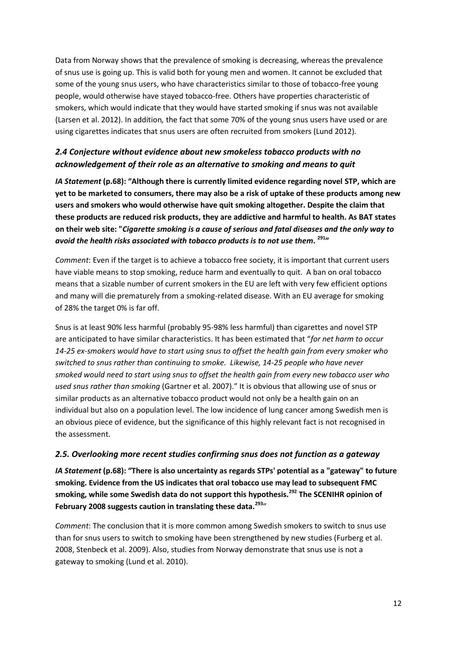Data from Norway shows that the prevalence of smoking is decreasing, whereas the prevalence of snus use is going up. This is valid both for young men and women. It cannot be excluded that some of the young snus users, who have characteristics similar to those of tobacco-free young people, would otherwise have stayed tobacco-free. Others have properties characteristic of smokers, which would indicate that they would have started smoking if snus was not available (Larsen et al. 2012). In addition*,* the fact that some 70% of the young snus users have used or are using cigarettes indicates that snus users are often recruited from smokers (Lund 2012)*.*

# *2.4 Conjecture without evidence about new smokeless tobacco products with no acknowledgement of their role as an alternative to smoking and means to quit*

*IA Statement* **(p.68): "Although there is currently limited evidence regarding novel STP, which are yet to be marketed to consumers, there may also be a risk of uptake of these products among new users and smokers who would otherwise have quit smoking altogether. Despite the claim that these products are reduced risk products, they are addictive and harmful to health. As BAT states on their web site: "***Cigarette smoking is a cause of serious and fatal diseases and the only way to avoid the health risks associated with tobacco products is to not use them***. <sup>291</sup>"**

*Comment*: Even if the target is to achieve a tobacco free society, it is important that current users have viable means to stop smoking, reduce harm and eventually to quit. A ban on oral tobacco means that a sizable number of current smokers in the EU are left with very few efficient options and many will die prematurely from a smoking-related disease. With an EU average for smoking of 28% the target 0% is far off.

Snus is at least 90% less harmful (probably 95-98% less harmful) than cigarettes and novel STP are anticipated to have similar characteristics. It has been estimated that "*for net harm to occur 14-25 ex-smokers would have to start using snus to offset the health gain from every smoker who switched to snus rather than continuing to smoke. Likewise, 14-25 people who have never smoked would need to start using snus to offset the health gain from every new tobacco user who used snus rather than smoking* (Gartner et al. 2007)." It is obvious that allowing use of snus or similar products as an alternative tobacco product would not only be a health gain on an individual but also on a population level. The low incidence of lung cancer among Swedish men is an obvious piece of evidence, but the significance of this highly relevant fact is not recognised in the assessment.

#### *2.5. Overlooking more recent studies confirming snus does not function as a gateway*

*IA Statement* **(p.68): "There is also uncertainty as regards STPs' potential as a "gateway" to future smoking. Evidence from the US indicates that oral tobacco use may lead to subsequent FMC smoking, while some Swedish data do not support this hypothesis.<sup>292</sup> The SCENIHR opinion of February 2008 suggests caution in translating these data.<sup>293</sup>**"

*Comment*: The conclusion that it is more common among Swedish smokers to switch to snus use than for snus users to switch to smoking have been strengthened by new studies (Furberg et al. 2008, Stenbeck et al. 2009). Also, studies from Norway demonstrate that snus use is not a gateway to smoking (Lund et al. 2010).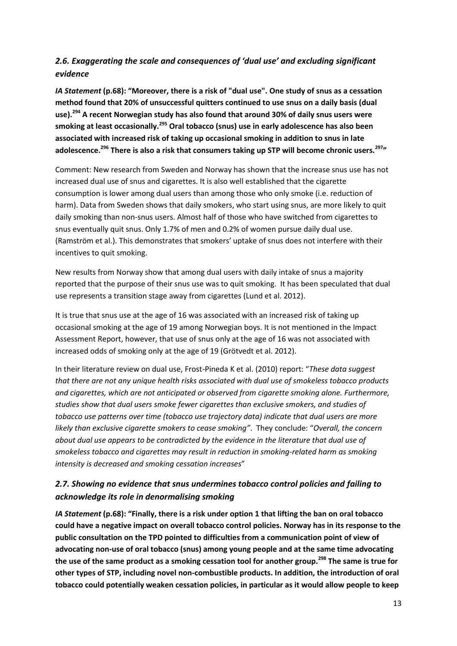# *2.6. Exaggerating the scale and consequences of 'dual use' and excluding significant evidence*

*IA Statement* **(p.68): "Moreover, there is a risk of "dual use". One study of snus as a cessation method found that 20% of unsuccessful quitters continued to use snus on a daily basis (dual use).<sup>294</sup> A recent Norwegian study has also found that around 30% of daily snus users were smoking at least occasionally.<sup>295</sup> Oral tobacco (snus) use in early adolescence has also been associated with increased risk of taking up occasional smoking in addition to snus in late adolescence.<sup>296</sup> There is also a risk that consumers taking up STP will become chronic users.<sup>297</sup>"**

Comment: New research from Sweden and Norway has shown that the increase snus use has not increased dual use of snus and cigarettes. It is also well established that the cigarette consumption is lower among dual users than among those who only smoke (i.e. reduction of harm). Data from Sweden shows that daily smokers, who start using snus, are more likely to quit daily smoking than non-snus users. Almost half of those who have switched from cigarettes to snus eventually quit snus. Only 1.7% of men and 0.2% of women pursue daily dual use. (Ramström et al.). This demonstrates that smokers' uptake of snus does not interfere with their incentives to quit smoking.

New results from Norway show that among dual users with daily intake of snus a majority reported that the purpose of their snus use was to quit smoking. It has been speculated that dual use represents a transition stage away from cigarettes (Lund et al. 2012).

It is true that snus use at the age of 16 was associated with an increased risk of taking up occasional smoking at the age of 19 among Norwegian boys. It is not mentioned in the Impact Assessment Report, however, that use of snus only at the age of 16 was not associated with increased odds of smoking only at the age of 19 (Grötvedt et al. 2012).

In their literature review on dual use, Frost-Pineda K et al. (2010) report: "*These data suggest that there are not any unique health risks associated with dual use of smokeless tobacco products and cigarettes, which are not anticipated or observed from cigarette smoking alone. Furthermore, studies show that dual users smoke fewer cigarettes than exclusive smokers, and studies of tobacco use patterns over time (tobacco use trajectory data) indicate that dual users are more likely than exclusive cigarette smokers to cease smoking"*. They conclude: "*Overall, the concern about dual use appears to be contradicted by the evidence in the literature that dual use of smokeless tobacco and cigarettes may result in reduction in smoking-related harm as smoking intensity is decreased and smoking cessation increases*"

## *2.7. Showing no evidence that snus undermines tobacco control policies and failing to acknowledge its role in denormalising smoking*

*IA Statement* **(p.68): "Finally, there is a risk under option 1 that lifting the ban on oral tobacco could have a negative impact on overall tobacco control policies. Norway has in its response to the public consultation on the TPD pointed to difficulties from a communication point of view of advocating non-use of oral tobacco (snus) among young people and at the same time advocating the use of the same product as a smoking cessation tool for another group.<sup>298</sup> The same is true for other types of STP, including novel non-combustible products. In addition, the introduction of oral tobacco could potentially weaken cessation policies, in particular as it would allow people to keep**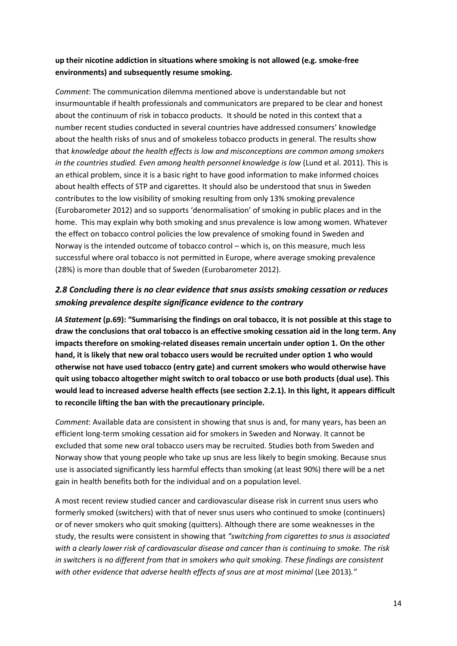### **up their nicotine addiction in situations where smoking is not allowed (e.g. smoke-free environments) and subsequently resume smoking.**

*Comment*: The communication dilemma mentioned above is understandable but not insurmountable if health professionals and communicators are prepared to be clear and honest about the continuum of risk in tobacco products. It should be noted in this context that a number recent studies conducted in several countries have addressed consumers' knowledge about the health risks of snus and of smokeless tobacco products in general. The results show that *knowledge about the health effects is low and misconceptions are common among smokers in the countries studied. Even among health personnel knowledge is low (Lund et al. 2011). This is* an ethical problem, since it is a basic right to have good information to make informed choices about health effects of STP and cigarettes. It should also be understood that snus in Sweden contributes to the low visibility of smoking resulting from only 13% smoking prevalence (Eurobarometer 2012) and so supports 'denormalisation' of smoking in public places and in the home. This may explain why both smoking and snus prevalence is low among women. Whatever the effect on tobacco control policies the low prevalence of smoking found in Sweden and Norway is the intended outcome of tobacco control – which is, on this measure, much less successful where oral tobacco is not permitted in Europe, where average smoking prevalence (28%) is more than double that of Sweden (Eurobarometer 2012).

## *2.8 Concluding there is no clear evidence that snus assists smoking cessation or reduces smoking prevalence despite significance evidence to the contrary*

*IA Statement* **(p.69): "Summarising the findings on oral tobacco, it is not possible at this stage to draw the conclusions that oral tobacco is an effective smoking cessation aid in the long term. Any impacts therefore on smoking-related diseases remain uncertain under option 1. On the other hand, it is likely that new oral tobacco users would be recruited under option 1 who would otherwise not have used tobacco (entry gate) and current smokers who would otherwise have quit using tobacco altogether might switch to oral tobacco or use both products (dual use). This would lead to increased adverse health effects (see section 2.2.1). In this light, it appears difficult to reconcile lifting the ban with the precautionary principle.**

*Comment*: Available data are consistent in showing that snus is and, for many years, has been an efficient long-term smoking cessation aid for smokers in Sweden and Norway. It cannot be excluded that some new oral tobacco users may be recruited. Studies both from Sweden and Norway show that young people who take up snus are less likely to begin smoking. Because snus use is associated significantly less harmful effects than smoking (at least 90%) there will be a net gain in health benefits both for the individual and on a population level.

A most recent review studied cancer and cardiovascular disease risk in current snus users who formerly smoked (switchers) with that of never snus users who continued to smoke (continuers) or of never smokers who quit smoking (quitters). Although there are some weaknesses in the study, the results were consistent in showing that *"switching from cigarettes to snus is associated with a clearly lower risk of cardiovascular disease and cancer than is continuing to smoke. The risk in switchers is no different from that in smokers who quit smoking. These findings are consistent*  with other evidence that adverse health effects of snus are at most minimal (Lee 2013)."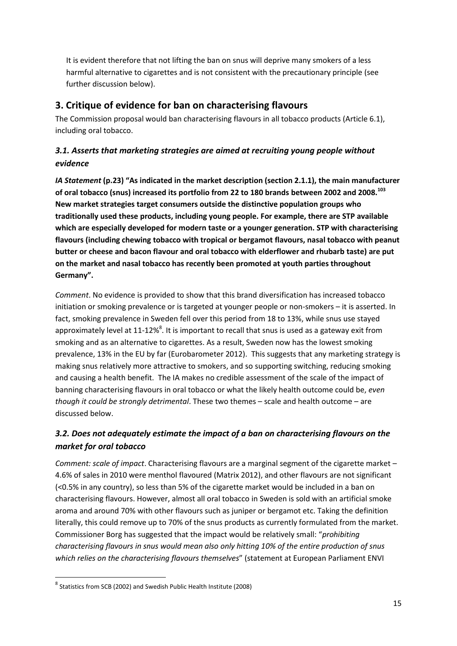It is evident therefore that not lifting the ban on snus will deprive many smokers of a less harmful alternative to cigarettes and is not consistent with the precautionary principle (see further discussion below).

# **3. Critique of evidence for ban on characterising flavours**

The Commission proposal would ban characterising flavours in all tobacco products (Article 6.1), including oral tobacco.

# *3.1. Asserts that marketing strategies are aimed at recruiting young people without evidence*

*IA Statement* **(p.23) "As indicated in the market description (section 2.1.1), the main manufacturer of oral tobacco (snus) increased its portfolio from 22 to 180 brands between 2002 and 2008.<sup>103</sup> New market strategies target consumers outside the distinctive population groups who traditionally used these products, including young people. For example, there are STP available which are especially developed for modern taste or a younger generation. STP with characterising flavours (including chewing tobacco with tropical or bergamot flavours, nasal tobacco with peanut butter or cheese and bacon flavour and oral tobacco with elderflower and rhubarb taste) are put on the market and nasal tobacco has recently been promoted at youth parties throughout Germany".**

*Comment*. No evidence is provided to show that this brand diversification has increased tobacco initiation or smoking prevalence or is targeted at younger people or non-smokers – it is asserted. In fact, smoking prevalence in Sweden fell over this period from 18 to 13%, while snus use stayed approximately level at 11-12%<sup>8</sup>. It is important to recall that snus is used as a gateway exit from smoking and as an alternative to cigarettes. As a result, Sweden now has the lowest smoking prevalence, 13% in the EU by far (Eurobarometer 2012). This suggests that any marketing strategy is making snus relatively more attractive to smokers, and so supporting switching, reducing smoking and causing a health benefit. The IA makes no credible assessment of the scale of the impact of banning characterising flavours in oral tobacco or what the likely health outcome could be, *even though it could be strongly detrimental*. These two themes – scale and health outcome – are discussed below.

# *3.2. Does not adequately estimate the impact of a ban on characterising flavours on the market for oral tobacco*

*Comment: scale of impact*. Characterising flavours are a marginal segment of the cigarette market – 4.6% of sales in 2010 were menthol flavoured (Matrix 2012), and other flavours are not significant (<0.5% in any country), so less than 5% of the cigarette market would be included in a ban on characterising flavours. However, almost all oral tobacco in Sweden is sold with an artificial smoke aroma and around 70% with other flavours such as juniper or bergamot etc. Taking the definition literally, this could remove up to 70% of the snus products as currently formulated from the market. Commissioner Borg has suggested that the impact would be relatively small: "*prohibiting characterising flavours in snus would mean also only hitting 10% of the entire production of snus which relies on the characterising flavours themselves*" (statement at European Parliament ENVI

**.** 

<sup>8</sup> Statistics from SCB (2002) and Swedish Public Health Institute (2008)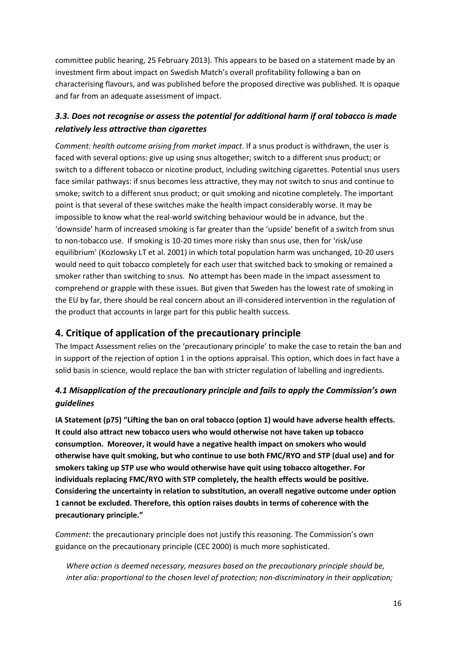committee public hearing, 25 February 2013). This appears to be based on a statement made by an investment firm about impact on Swedish Match's overall profitability following a ban on characterising flavours, and was published before the proposed directive was published. It is opaque and far from an adequate assessment of impact.

# *3.3. Does not recognise or assess the potential for additional harm if oral tobacco is made relatively less attractive than cigarettes*

*Comment: health outcome arising from market impact*. If a snus product is withdrawn, the user is faced with several options: give up using snus altogether; switch to a different snus product; or switch to a different tobacco or nicotine product, including switching cigarettes. Potential snus users face similar pathways: if snus becomes less attractive, they may not switch to snus and continue to smoke; switch to a different snus product; or quit smoking and nicotine completely. The important point is that several of these switches make the health impact considerably worse. It may be impossible to know what the real-world switching behaviour would be in advance, but the 'downside' harm of increased smoking is far greater than the 'upside' benefit of a switch from snus to non-tobacco use. If smoking is 10-20 times more risky than snus use, then for 'risk/use equilibrium' (Kozlowsky LT et al. 2001) in which total population harm was unchanged, 10-20 users would need to quit tobacco completely for each user that switched back to smoking or remained a smoker rather than switching to snus. No attempt has been made in the impact assessment to comprehend or grapple with these issues. But given that Sweden has the lowest rate of smoking in the EU by far, there should be real concern about an ill-considered intervention in the regulation of the product that accounts in large part for this public health success.

# **4. Critique of application of the precautionary principle**

The Impact Assessment relies on the 'precautionary principle' to make the case to retain the ban and in support of the rejection of option 1 in the options appraisal. This option, which does in fact have a solid basis in science, would replace the ban with stricter regulation of labelling and ingredients.

# *4.1 Misapplication of the precautionary principle and fails to apply the Commission's own guidelines*

**IA Statement (p75) "Lifting the ban on oral tobacco (option 1) would have adverse health effects. It could also attract new tobacco users who would otherwise not have taken up tobacco consumption. Moreover, it would have a negative health impact on smokers who would otherwise have quit smoking, but who continue to use both FMC/RYO and STP (dual use) and for smokers taking up STP use who would otherwise have quit using tobacco altogether. For individuals replacing FMC/RYO with STP completely, the health effects would be positive. Considering the uncertainty in relation to substitution, an overall negative outcome under option 1 cannot be excluded. Therefore, this option raises doubts in terms of coherence with the precautionary principle."** 

*Comment*: the precautionary principle does not justify this reasoning. The Commission's own guidance on the precautionary principle (CEC 2000) is much more sophisticated.

*Where action is deemed necessary, measures based on the precautionary principle should be, inter alia: proportional to the chosen level of protection; non-discriminatory in their application;*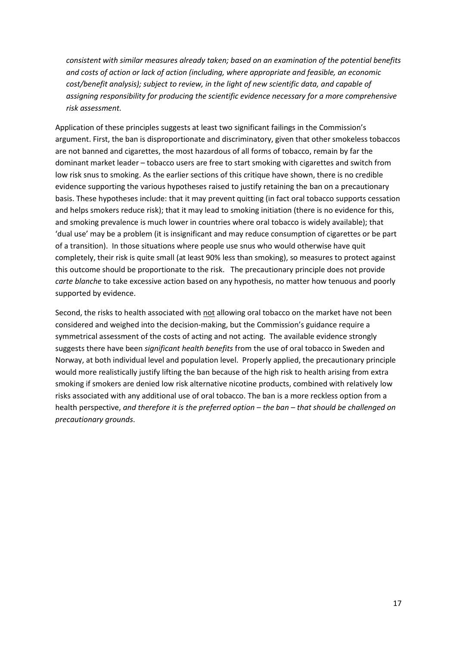*consistent with similar measures already taken; based on an examination of the potential benefits and costs of action or lack of action (including, where appropriate and feasible, an economic cost/benefit analysis); subject to review, in the light of new scientific data, and capable of assigning responsibility for producing the scientific evidence necessary for a more comprehensive risk assessment.*

Application of these principles suggests at least two significant failings in the Commission's argument. First, the ban is disproportionate and discriminatory, given that other smokeless tobaccos are not banned and cigarettes, the most hazardous of all forms of tobacco, remain by far the dominant market leader – tobacco users are free to start smoking with cigarettes and switch from low risk snus to smoking. As the earlier sections of this critique have shown, there is no credible evidence supporting the various hypotheses raised to justify retaining the ban on a precautionary basis. These hypotheses include: that it may prevent quitting (in fact oral tobacco supports cessation and helps smokers reduce risk); that it may lead to smoking initiation (there is no evidence for this, and smoking prevalence is much lower in countries where oral tobacco is widely available); that 'dual use' may be a problem (it is insignificant and may reduce consumption of cigarettes or be part of a transition). In those situations where people use snus who would otherwise have quit completely, their risk is quite small (at least 90% less than smoking), so measures to protect against this outcome should be proportionate to the risk. The precautionary principle does not provide *carte blanche* to take excessive action based on any hypothesis, no matter how tenuous and poorly supported by evidence.

Second, the risks to health associated with not allowing oral tobacco on the market have not been considered and weighed into the decision-making, but the Commission's guidance require a symmetrical assessment of the costs of acting and not acting. The available evidence strongly suggests there have been *significant health benefits* from the use of oral tobacco in Sweden and Norway, at both individual level and population level. Properly applied, the precautionary principle would more realistically justify lifting the ban because of the high risk to health arising from extra smoking if smokers are denied low risk alternative nicotine products, combined with relatively low risks associated with any additional use of oral tobacco. The ban is a more reckless option from a health perspective, *and therefore it is the preferred option – the ban – that should be challenged on precautionary grounds*.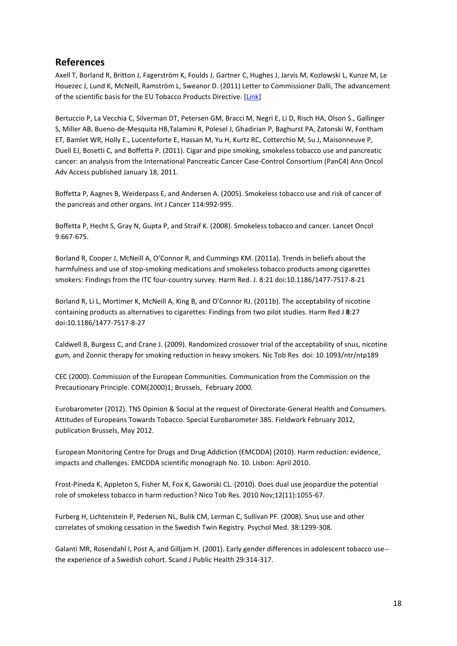### **References**

Axell T, Borland R, Britton J, Fagerström K, Foulds J, Gartner C, Hughes J, Jarvis M, Kozlowski L, Kunze M, Le Houezec J, Lund K, McNeill, Ramström L, Sweanor D. (2011) Letter to Commissioner Dalli, The advancement of the scientific basis for the EU Tobacco Products Directive. [\[Link\]](http://www.clivebates.com/?page_id=461)

Bertuccio P, La Vecchia C, Silverman DT, Petersen GM, Bracci M, Negri E, Li D, Risch HA, Olson S., Gallinger S, Miller AB, Bueno-de-Mesquita HB,Talamini R, Polesel J, Ghadirian P, Baghurst PA, Zatonski W, Fontham ET, Bamlet WR, Holly E., Lucenteforte E, Hassan M, Yu H, Kurtz RC, Cotterchio M, Su J, Maisonneuve P, Duell EJ, Bosetti C, and Boffetta P. (2011). Cigar and pipe smoking, smokeless tobacco use and pancreatic cancer: an analysis from the International Pancreatic Cancer Case-Control Consortium (PanC4) Ann Oncol Adv Access published January 18, 2011.

Boffetta P, Aagnes B, Weiderpass E, and Andersen A. (2005). Smokeless tobacco use and risk of cancer of the pancreas and other organs. Int J Cancer 114:992-995.

Boffetta P, Hecht S, Gray N, Gupta P, and Straif K. (2008). Smokeless tobacco and cancer. Lancet Oncol 9:667-675.

Borland R, Cooper J, McNeill A, O'Connor R, and Cummings KM. (2011a). Trends in beliefs about the harmfulness and use of stop-smoking medications and smokeless tobacco products among cigarettes smokers: Findings from the ITC four-country survey. Harm Red. J. 8:21 doi:10.1186/1477-7517-8-21

Borland R, Li L, Mortimer K, McNeill A, King B, and O'Connor RJ. (2011b). The acceptability of nicotine containing products as alternatives to cigarettes: Findings from two pilot studies. Harm Red J **8**:27 doi:10.1186/1477-7517-8-27

Caldwell B, Burgess C, and Crane J. (2009). Randomized crossover trial of the acceptability of snus, nicotine gum, and Zonnic therapy for smoking reduction in heavy smokers. Nic Tob Res doi: 10.1093/ntr/ntp189

CEC (2000). Commission of the European Communities. Communication from the Commission on the Precautionary Principle. COM(2000)1; Brussels, February 2000.

Eurobarometer (2012). TNS Opinion & Social at the request of Directorate-General Health and Consumers. Attitudes of Europeans Towards Tobacco. Special Eurobarometer 385. Fieldwork February 2012, publication Brussels, May 2012.

European Monitoring Centre for Drugs and Drug Addiction (EMCDDA) (2010). Harm reduction: evidence, impacts and challenges. EMCDDA scientific monograph No. 10. Lisbon: April 2010.

Frost-Pineda K, Appleton S, Fisher M, Fox K, Gaworski CL. (2010). Does dual use jeopardize the potential role of smokeless tobacco in harm reduction? Nico Tob Res. 2010 Nov;12(11):1055-67.

[Furberg H,](http://www.ncbi.nlm.nih.gov/pubmed?term=Furberg%20H%5BAuthor%5D&cauthor=true&cauthor_uid=18680625) [Lichtenstein P,](http://www.ncbi.nlm.nih.gov/pubmed?term=Lichtenstein%20P%5BAuthor%5D&cauthor=true&cauthor_uid=18680625) [Pedersen NL,](http://www.ncbi.nlm.nih.gov/pubmed?term=Pedersen%20NL%5BAuthor%5D&cauthor=true&cauthor_uid=18680625) [Bulik CM,](http://www.ncbi.nlm.nih.gov/pubmed?term=Bulik%20CM%5BAuthor%5D&cauthor=true&cauthor_uid=18680625) [Lerman C,](http://www.ncbi.nlm.nih.gov/pubmed?term=Lerman%20C%5BAuthor%5D&cauthor=true&cauthor_uid=18680625) [Sullivan PF.](http://www.ncbi.nlm.nih.gov/pubmed?term=Sullivan%20PF%5BAuthor%5D&cauthor=true&cauthor_uid=18680625) (2008). Snus use and other correlates of smoking cessation in the Swedish Twin Registry. Psychol Med. 38:1299-308.

Galanti MR, Rosendahl I, Post A, and Gilljam H. (2001). Early gender differences in adolescent tobacco use- the experience of a Swedish cohort. Scand J Public Health 29:314-317.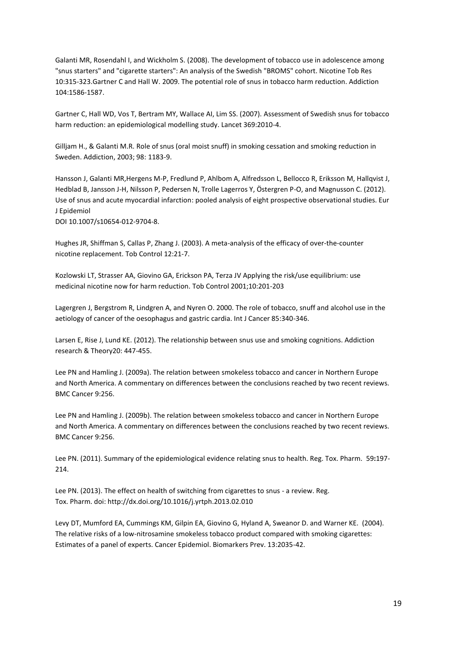Galanti MR, Rosendahl I, and Wickholm S. (2008). The development of tobacco use in adolescence among "snus starters" and "cigarette starters": An analysis of the Swedish "BROMS" cohort. Nicotine Tob Res 10:315-323.Gartner C and Hall W. 2009. The potential role of snus in tobacco harm reduction. Addiction 104:1586-1587.

Gartner C, Hall WD, Vos T, Bertram MY, Wallace AI, Lim SS. (2007). Assessment of Swedish snus for tobacco harm reduction: an epidemiological modelling study. Lancet 369:2010-4.

Gilljam H., & Galanti M.R. Role of snus (oral moist snuff) in smoking cessation and smoking reduction in Sweden. Addiction, 2003; 98: 1183-9.

Hansson J, Galanti MR,Hergens M-P, Fredlund P, Ahlbom A, Alfredsson L, Bellocco R, Eriksson M, Hallqvist J, Hedblad B, Jansson J-H, Nilsson P, Pedersen N, Trolle Lagerros Y, Östergren P-O, and Magnusson C. (2012). Use of snus and acute myocardial infarction: pooled analysis of eight prospective observational studies. Eur J Epidemiol

DOI 10.1007/s10654-012-9704-8.

[Hughes JR,](http://www.ncbi.nlm.nih.gov/pubmed?term=Hughes%20JR%5BAuthor%5D&cauthor=true&cauthor_uid=12612357) [Shiffman S,](http://www.ncbi.nlm.nih.gov/pubmed?term=Shiffman%20S%5BAuthor%5D&cauthor=true&cauthor_uid=12612357) [Callas P,](http://www.ncbi.nlm.nih.gov/pubmed?term=Callas%20P%5BAuthor%5D&cauthor=true&cauthor_uid=12612357) [Zhang J.](http://www.ncbi.nlm.nih.gov/pubmed?term=Zhang%20J%5BAuthor%5D&cauthor=true&cauthor_uid=12612357) (2003). A meta-analysis of the efficacy of over-the-counter nicotine replacement[. Tob Control](http://www.ncbi.nlm.nih.gov/pubmed/12612357) 12:21-7.

Kozlowski LT, Strasser AA, Giovino GA, Erickson PA, Terza JV Applying the risk/use equilibrium: use medicinal nicotine now for harm reduction. Tob Control 2001;10:201-203

Lagergren J, Bergstrom R, Lindgren A, and Nyren O. 2000. The role of tobacco, snuff and alcohol use in the aetiology of cancer of the oesophagus and gastric cardia. Int J Cancer 85:340-346.

Larsen E, Rise J, Lund KE. (2012). The relationship between snus use and smoking cognitions. Addiction research & Theory20: 447-455.

Lee PN and Hamling J. (2009a). The relation between smokeless tobacco and cancer in Northern Europe and North America. A commentary on differences between the conclusions reached by two recent reviews. BMC Cancer 9:256.

Lee PN and Hamling J. (2009b). The relation between smokeless tobacco and cancer in Northern Europe and North America. A commentary on differences between the conclusions reached by two recent reviews. BMC Cancer 9:256.

Lee PN. (2011). Summary of the epidemiological evidence relating snus to health. Reg. Tox. Pharm. 59**:**197- 214.

Lee PN. (2013). The effect on health of switching from cigarettes to snus - a review. Reg. Tox. Pharm. doi: http://dx.doi.org/10.1016/j.yrtph.2013.02.010

Levy DT, Mumford EA, Cummings KM, Gilpin EA, Giovino G, Hyland A, Sweanor D. and Warner KE. (2004). The relative risks of a low-nitrosamine smokeless tobacco product compared with smoking cigarettes: Estimates of a panel of experts. Cancer Epidemiol. Biomarkers Prev. 13:2035-42.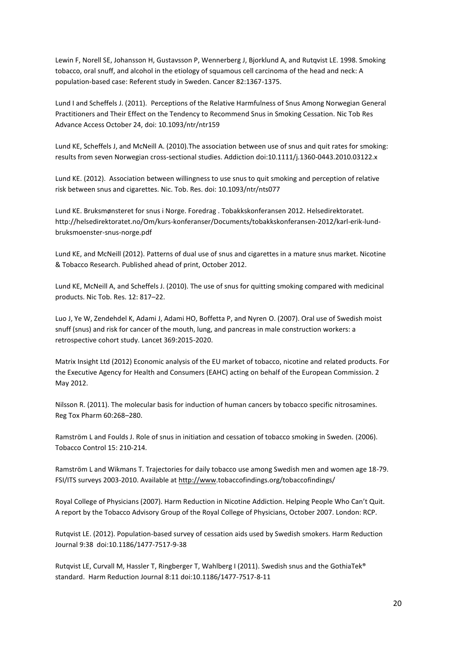Lewin F, Norell SE, Johansson H, Gustavsson P, Wennerberg J, Bjorklund A, and Rutqvist LE. 1998. Smoking tobacco, oral snuff, and alcohol in the etiology of squamous cell carcinoma of the head and neck: A population-based case: Referent study in Sweden. Cancer 82:1367-1375.

Lund I and Scheffels J. (2011). Perceptions of the Relative Harmfulness of Snus Among Norwegian General Practitioners and Their Effect on the Tendency to Recommend Snus in Smoking Cessation. Nic Tob Res Advance Access October 24, doi: 10.1093/ntr/ntr159

Lund KE, Scheffels J, and McNeill A. (2010).The association between use of snus and quit rates for smoking: results from seven Norwegian cross-sectional studies. Addiction doi:10.1111/j.1360-0443.2010.03122.x

Lund KE. (2012). Association between willingness to use snus to quit smoking and perception of relative risk between snus and cigarettes. Nic. Tob. Res. doi: 10.1093/ntr/nts077

Lund KE. Bruksmønsteret for snus i Norge. Foredrag . Tobakkskonferansen 2012. Helsedirektoratet. http://helsedirektoratet.no/Om/kurs-konferanser/Documents/tobakkskonferansen-2012/karl-erik-lundbruksmoenster-snus-norge.pdf

Lund KE, and McNeill (2012). Patterns of dual use of snus and cigarettes in a mature snus market. Nicotine & Tobacco Research. Published ahead of print, October 2012.

Lund KE, McNeill A, and Scheffels J. (2010). The use of snus for quitting smoking compared with medicinal products. Nic Tob. Res. 12: 817–22.

Luo J, Ye W, Zendehdel K, Adami J, Adami HO, Boffetta P, and Nyren O. (2007). Oral use of Swedish moist snuff (snus) and risk for cancer of the mouth, lung, and pancreas in male construction workers: a retrospective cohort study. Lancet 369:2015-2020.

Matrix Insight Ltd (2012) Economic analysis of the EU market of tobacco, nicotine and related products. For the Executive Agency for Health and Consumers (EAHC) acting on behalf of the European Commission. 2 May 2012.

Nilsson R. (2011). The molecular basis for induction of human cancers by tobacco specific nitrosamines. Reg Tox Pharm 60:268–280.

Ramström L and Foulds J. Role of snus in initiation and cessation of tobacco smoking in Sweden. (2006). Tobacco Control 15: 210-214.

Ramström L and Wikmans T. Trajectories for daily tobacco use among Swedish men and women age 18-79. FSI/ITS surveys 2003-2010. Available a[t http://www.](http://www/)tobaccofindings.org/tobaccofindings/

Royal College of Physicians (2007). Harm Reduction in Nicotine Addiction. Helping People Who Can't Quit. A report by the Tobacco Advisory Group of the Royal College of Physicians, October 2007. London: RCP.

Rutqvist LE. (2012). Population-based survey of cessation aids used by Swedish smokers. Harm Reduction Journal 9:38 doi:10.1186/1477-7517-9-38

Rutqvist LE, Curvall M, Hassler T, Ringberger T, Wahlberg I (2011). Swedish snus and the GothiaTek® standard. Harm Reduction Journal 8:11 doi:10.1186/1477-7517-8-11